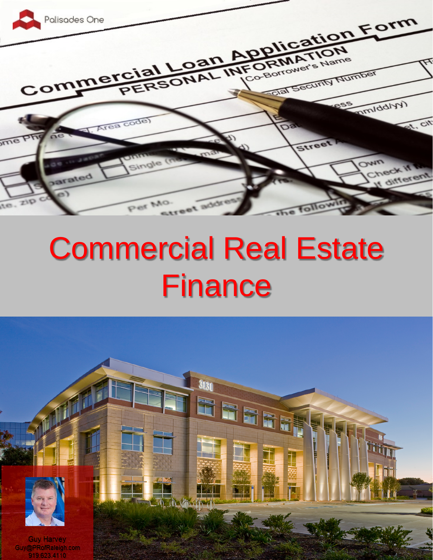

# Commercial Real Estate **Finance**

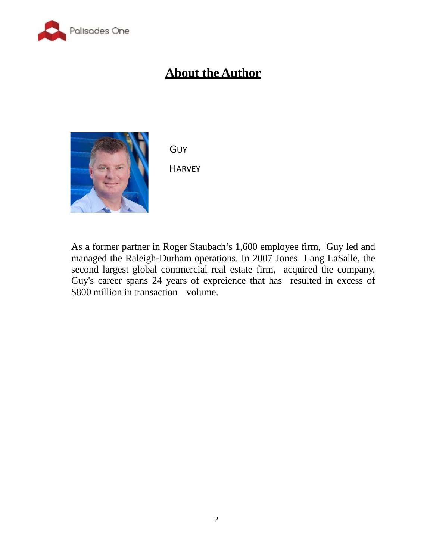

# **About the Author**



**GUY** 

**HARVEY** 

**) R X Q G H U D Q G RDEX-moQ pHrtner in RReger 3 D** Staubach's 1,600 employee firm, Guy led and managed the Raleigh-Durham operations. In 2007 Jones Lang LaSalle, the second largest global commercial real estate firm, acquired the company. Guy's career spans 24 years of expreience that has resulted in excess of \$800 million in transaction volume.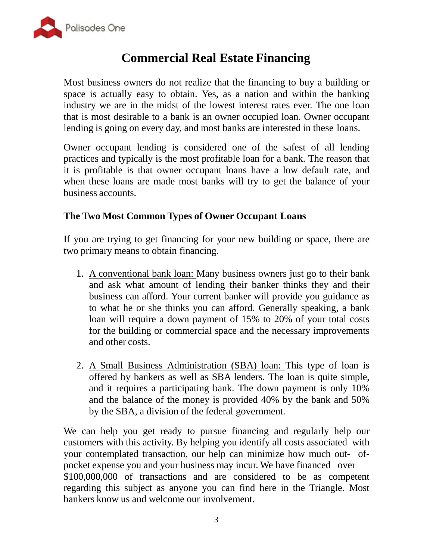

# **Commercial Real Estate Financing**

Most business owners do not realize that the financing to buy a building or space is actually easy to obtain. Yes, as a nation and within the banking industry we are in the midst of the lowest interest rates ever. The one loan that is most desirable to a bank is an owner occupied loan. Owner occupant lending is going on every day, and most banks are interested in these loans.

Owner occupant lending is considered one of the safest of all lending practices and typically is the most profitable loan for a bank. The reason that it is profitable is that owner occupant loans have a low default rate, and when these loans are made most banks will try to get the balance of your business accounts.

#### **The Two Most Common Types of Owner Occupant Loans**

If you are trying to get financing for your new building or space, there are two primary means to obtain financing.

- 1. A conventional bank loan: Many business owners just go to their bank and ask what amount of lending their banker thinks they and their business can afford. Your current banker will provide you guidance as to what he or she thinks you can afford. Generally speaking, a bank loan will require a down payment of 15% to 20% of your total costs for the building or commercial space and the necessary improvements and other costs.
- 2. A Small Business Administration (SBA) loan: This type of loan is offered by bankers as well as SBA lenders. The loan is quite simple, and it requires a participating bank. The down payment is only 10% and the balance of the money is provided 40% by the bank and 50% by the SBA, a division of the federal government.

We can help you get ready to pursue financing and regularly help our customers with this activity. By helping you identify all costs associated with your contemplated transaction, our help can minimize how much out- ofpocket expense you and your business may incur. We have financed over \$100,000,000 of transactions and are considered to be as competent regarding this subject as anyone you can find here in the Triangle. Most bankers know us and welcome our involvement.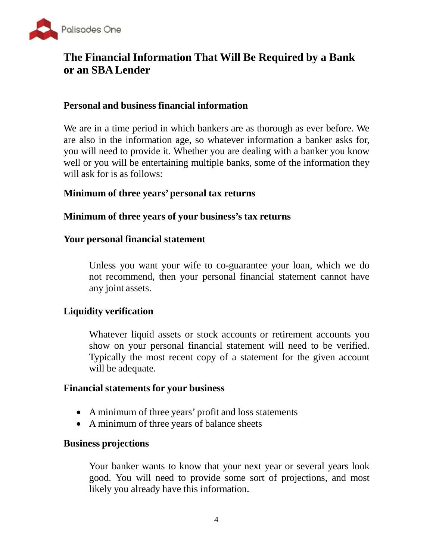

## **The Financial Information That Will Be Required by a Bank or an SBALender**

## **Personal and business financial information**

We are in a time period in which bankers are as thorough as ever before. We are also in the information age, so whatever information a banker asks for, you will need to provide it. Whether you are dealing with a banker you know well or you will be entertaining multiple banks, some of the information they will ask for is as follows:

#### **Minimum of three years' personal tax returns**

#### **Minimum of three years of your business's tax returns**

#### **Your personal financial statement**

Unless you want your wife to co-guarantee your loan, which we do not recommend, then your personal financial statement cannot have any joint assets.

#### **Liquidity verification**

Whatever liquid assets or stock accounts or retirement accounts you show on your personal financial statement will need to be verified. Typically the most recent copy of a statement for the given account will be adequate.

#### **Financial statements for your business**

- A minimum of three years' profit and loss statements
- A minimum of three years of balance sheets

#### **Business projections**

Your banker wants to know that your next year or several years look good. You will need to provide some sort of projections, and most likely you already have this information.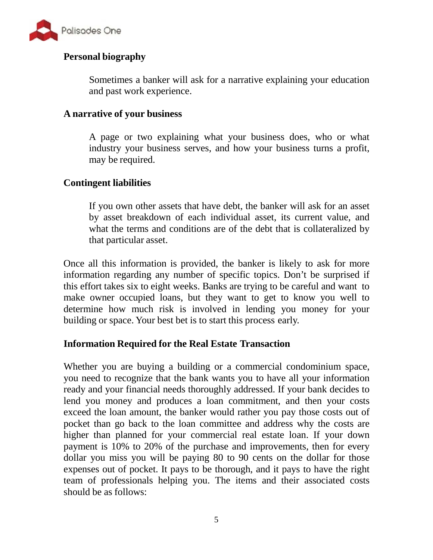

#### **Personal biography**

Sometimes a banker will ask for a narrative explaining your education and past work experience.

#### **A narrative of your business**

A page or two explaining what your business does, who or what industry your business serves, and how your business turns a profit, may be required.

#### **Contingent liabilities**

If you own other assets that have debt, the banker will ask for an asset by asset breakdown of each individual asset, its current value, and what the terms and conditions are of the debt that is collateralized by that particular asset.

Once all this information is provided, the banker is likely to ask for more information regarding any number of specific topics. Don't be surprised if this effort takes six to eight weeks. Banks are trying to be careful and want to make owner occupied loans, but they want to get to know you well to determine how much risk is involved in lending you money for your building or space. Your best bet is to start this process early.

#### **Information Required for the Real Estate Transaction**

Whether you are buying a building or a commercial condominium space, you need to recognize that the bank wants you to have all your information ready and your financial needs thoroughly addressed. If your bank decides to lend you money and produces a loan commitment, and then your costs exceed the loan amount, the banker would rather you pay those costs out of pocket than go back to the loan committee and address why the costs are higher than planned for your commercial real estate loan. If your down payment is 10% to 20% of the purchase and improvements, then for every dollar you miss you will be paying 80 to 90 cents on the dollar for those expenses out of pocket. It pays to be thorough, and it pays to have the right team of professionals helping you. The items and their associated costs should be as follows: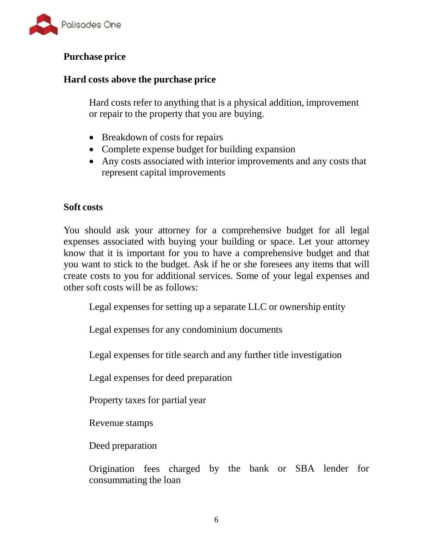

## **Purchase price**

## **Hard costs above the purchase price**

Hard costs refer to anything that is a physical addition, improvement or repair to the property that you are buying.

- Breakdown of costs for repairs
- Complete expense budget for building expansion
- Any costs associated with interior improvements and any costs that represent capital improvements

## **Soft costs**

You should ask your attorney for a comprehensive budget for all legal expenses associated with buying your building or space. Let your attorney know that it is important for you to have a comprehensive budget and that you want to stick to the budget. Ask if he or she foresees any items that will create costs to you for additional services. Some of your legal expenses and other soft costs will be as follows:

Legal expenses for setting up a separate LLC or ownership entity

Legal expenses for any condominium documents

Legal expenses for title search and any further title investigation

Legal expenses for deed preparation

Property taxes for partial year

Revenue stamps

Deed preparation

Origination fees charged by the bank or SBA lender for consummating the loan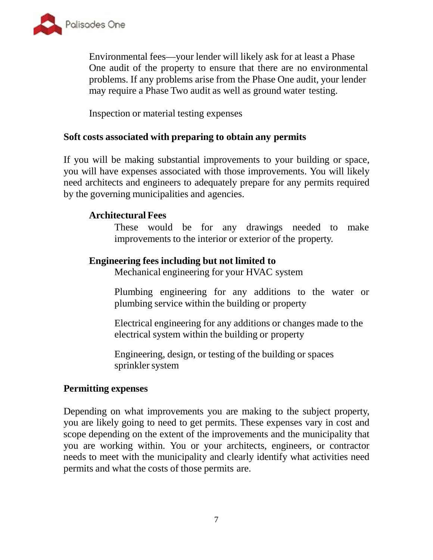

Environmental fees—your lender will likely ask for at least a Phase One audit of the property to ensure that there are no environmental problems. If any problems arise from the Phase One audit, your lender may require a Phase Two audit as well as ground water testing.

Inspection or material testing expenses

#### **Soft costs associated with preparing to obtain any permits**

If you will be making substantial improvements to your building or space, you will have expenses associated with those improvements. You will likely need architects and engineers to adequately prepare for any permits required by the governing municipalities and agencies.

#### **Architectural Fees**

These would be for any drawings needed to make improvements to the interior or exterior of the property.

#### **Engineering fees including but not limited to**

Mechanical engineering for your HVAC system

Plumbing engineering for any additions to the water or plumbing service within the building or property

Electrical engineering for any additions or changes made to the electrical system within the building or property

Engineering, design, or testing of the building or spaces sprinkler system

#### **Permitting expenses**

Depending on what improvements you are making to the subject property, you are likely going to need to get permits. These expenses vary in cost and scope depending on the extent of the improvements and the municipality that you are working within. You or your architects, engineers, or contractor needs to meet with the municipality and clearly identify what activities need permits and what the costs of those permits are.